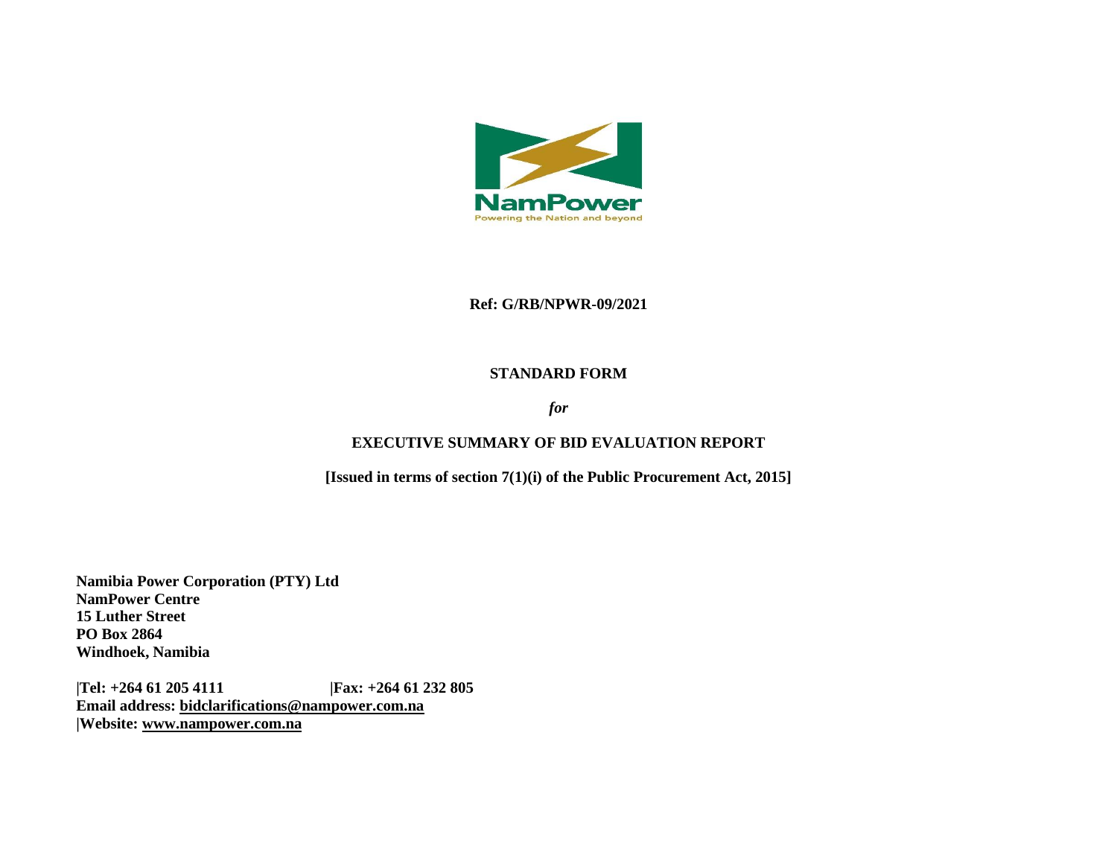

#### **Ref: G/RB/NPWR-09/2021**

## **STANDARD FORM**

# *for*

# **EXECUTIVE SUMMARY OF BID EVALUATION REPORT**

**[Issued in terms of section 7(1)(i) of the Public Procurement Act, 2015]** 

**Namibia Power Corporation (PTY) Ltd NamPower Centre 15 Luther Street PO Box 2864 Windhoek, Namibia**

**|Tel: +264 61 205 4111 |Fax: +264 61 232 805 Email address: [bidclarifications@nampower.com.na](mailto:bidclarifications@nampower.com.na) |Website: [www.n](http://www./)ampower.com.na**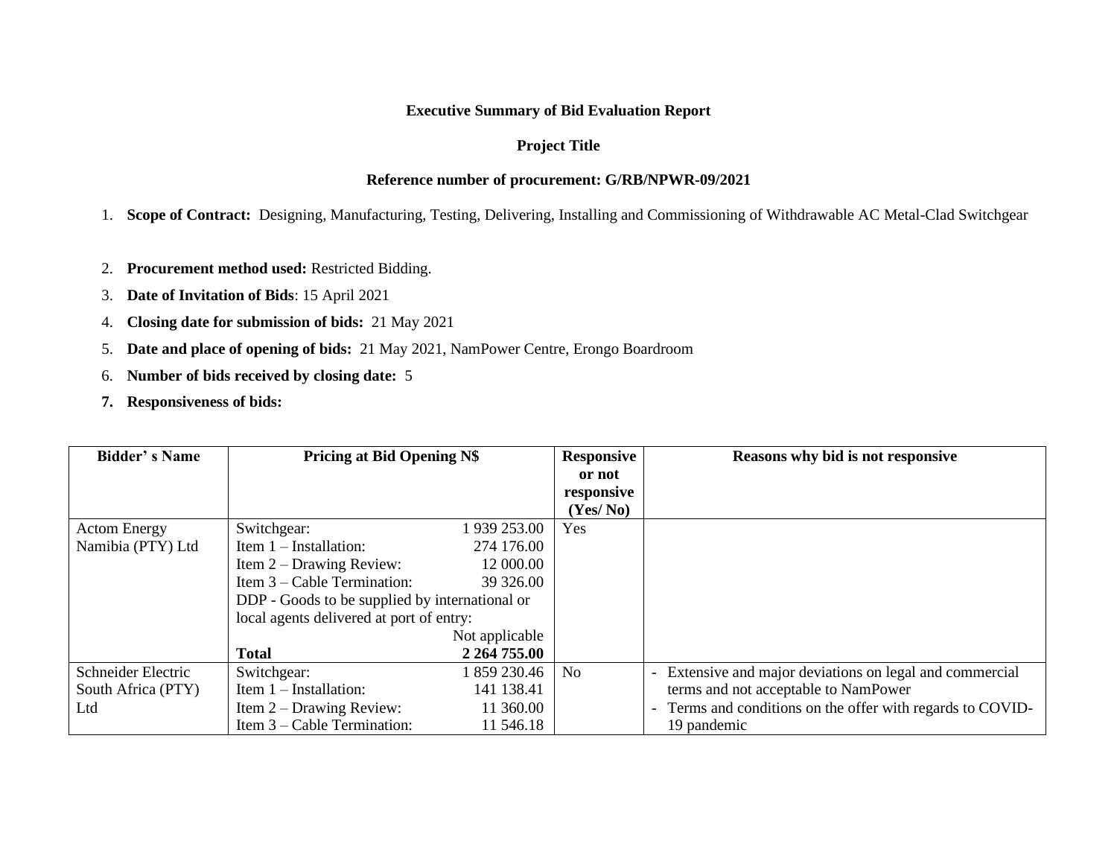# **Executive Summary of Bid Evaluation Report**

# **Project Title**

# **Reference number of procurement: G/RB/NPWR-09/2021**

1. **Scope of Contract:** Designing, Manufacturing, Testing, Delivering, Installing and Commissioning of Withdrawable AC Metal-Clad Switchgear

- 2. **Procurement method used:** Restricted Bidding.
- 3. **Date of Invitation of Bids**: 15 April 2021
- 4. **Closing date for submission of bids:** 21 May 2021
- 5. **Date and place of opening of bids:** 21 May 2021, NamPower Centre, Erongo Boardroom
- 6. **Number of bids received by closing date:** 5
- **7. Responsiveness of bids:**

| <b>Bidder's Name</b> | <b>Pricing at Bid Opening N\$</b>              |                | <b>Responsive</b> | Reasons why bid is not responsive                        |  |
|----------------------|------------------------------------------------|----------------|-------------------|----------------------------------------------------------|--|
|                      |                                                |                | or not            |                                                          |  |
|                      |                                                |                | responsive        |                                                          |  |
|                      |                                                |                | (Yes/No)          |                                                          |  |
| <b>Actom Energy</b>  | Switchgear:                                    | 939 253.00     | Yes               |                                                          |  |
| Namibia (PTY) Ltd    | Item $1$ – Installation:                       | 274 176.00     |                   |                                                          |  |
|                      | Item $2$ – Drawing Review:                     | 12 000.00      |                   |                                                          |  |
|                      | Item $3$ – Cable Termination:                  | 39 326.00      |                   |                                                          |  |
|                      | DDP - Goods to be supplied by international or |                |                   |                                                          |  |
|                      | local agents delivered at port of entry:       |                |                   |                                                          |  |
|                      |                                                | Not applicable |                   |                                                          |  |
|                      | <b>Total</b>                                   | 2 264 755.00   |                   |                                                          |  |
| Schneider Electric   | Switchgear:                                    | 859 230.46     | No                | - Extensive and major deviations on legal and commercial |  |
| South Africa (PTY)   | Item $1$ – Installation:                       | 141 138.41     |                   | terms and not acceptable to NamPower                     |  |
| Ltd                  | Item $2$ – Drawing Review:                     | 11 360.00      |                   | Terms and conditions on the offer with regards to COVID- |  |
|                      | Item $3$ – Cable Termination:                  | 11 546.18      |                   | 19 pandemic                                              |  |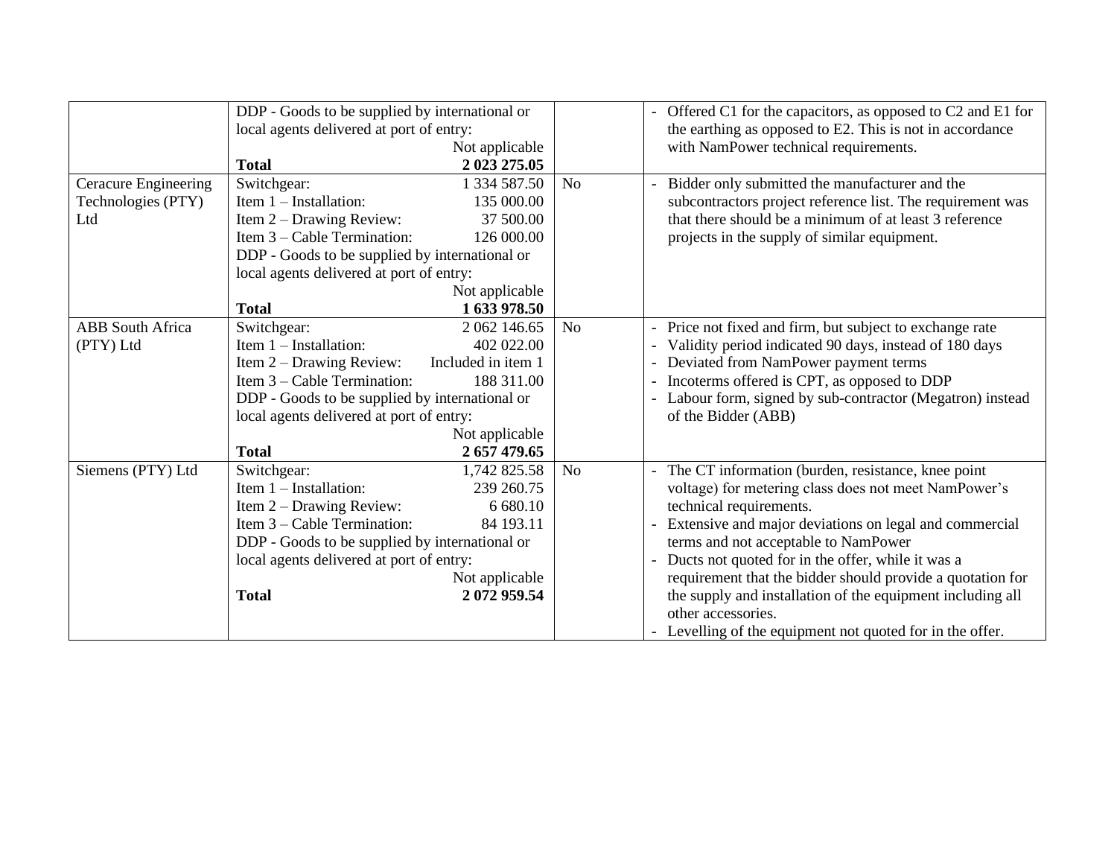|                         | DDP - Goods to be supplied by international or<br>local agents delivered at port of entry:                   |                    |                | - Offered C1 for the capacitors, as opposed to C2 and E1 for<br>the earthing as opposed to E2. This is not in accordance |  |  |
|-------------------------|--------------------------------------------------------------------------------------------------------------|--------------------|----------------|--------------------------------------------------------------------------------------------------------------------------|--|--|
|                         |                                                                                                              | Not applicable     |                | with NamPower technical requirements.                                                                                    |  |  |
|                         | <b>Total</b>                                                                                                 | 2 023 275.05       |                |                                                                                                                          |  |  |
| Ceracure Engineering    | Switchgear:                                                                                                  | 1 334 587.50       | N <sub>o</sub> | Bidder only submitted the manufacturer and the                                                                           |  |  |
| Technologies (PTY)      | Item $1$ – Installation:                                                                                     | 135 000.00         |                | subcontractors project reference list. The requirement was                                                               |  |  |
| Ltd                     | Item $2$ – Drawing Review:                                                                                   | 37 500.00          |                | that there should be a minimum of at least 3 reference                                                                   |  |  |
|                         | Item $3$ – Cable Termination:                                                                                | 126 000.00         |                | projects in the supply of similar equipment.                                                                             |  |  |
|                         | DDP - Goods to be supplied by international or                                                               |                    |                |                                                                                                                          |  |  |
|                         | local agents delivered at port of entry:                                                                     |                    |                |                                                                                                                          |  |  |
|                         |                                                                                                              | Not applicable     |                |                                                                                                                          |  |  |
|                         | <b>Total</b>                                                                                                 | 1 633 978.50       |                |                                                                                                                          |  |  |
| <b>ABB</b> South Africa | Switchgear:                                                                                                  | 2 062 146.65       | N <sub>o</sub> | Price not fixed and firm, but subject to exchange rate                                                                   |  |  |
| (PTY) Ltd               | Item $1$ – Installation:                                                                                     | 402 022.00         |                | Validity period indicated 90 days, instead of 180 days                                                                   |  |  |
|                         | Item $2$ – Drawing Review:                                                                                   | Included in item 1 |                | Deviated from NamPower payment terms                                                                                     |  |  |
|                         | Item $3$ – Cable Termination:                                                                                | 188 311.00         |                | Incoterms offered is CPT, as opposed to DDP                                                                              |  |  |
|                         | DDP - Goods to be supplied by international or<br>local agents delivered at port of entry:<br>Not applicable |                    |                | Labour form, signed by sub-contractor (Megatron) instead                                                                 |  |  |
|                         |                                                                                                              |                    |                | of the Bidder (ABB)                                                                                                      |  |  |
|                         |                                                                                                              |                    |                |                                                                                                                          |  |  |
|                         | <b>Total</b>                                                                                                 | 2 657 479.65       |                |                                                                                                                          |  |  |
| Siemens (PTY) Ltd       | Switchgear:                                                                                                  | 1,742 825.58       | N <sub>o</sub> | The CT information (burden, resistance, knee point                                                                       |  |  |
|                         | Item $1$ – Installation:                                                                                     | 239 260.75         |                | voltage) for metering class does not meet NamPower's                                                                     |  |  |
|                         | Item $2$ – Drawing Review:                                                                                   | 6 680.10           |                | technical requirements.                                                                                                  |  |  |
|                         | Item $3$ – Cable Termination:                                                                                | 84 193.11          |                | Extensive and major deviations on legal and commercial                                                                   |  |  |
|                         | DDP - Goods to be supplied by international or<br>local agents delivered at port of entry:                   |                    |                | terms and not acceptable to NamPower                                                                                     |  |  |
|                         |                                                                                                              |                    |                | Ducts not quoted for in the offer, while it was a                                                                        |  |  |
|                         |                                                                                                              | Not applicable     |                | requirement that the bidder should provide a quotation for                                                               |  |  |
|                         | <b>Total</b>                                                                                                 | 2072959.54         |                | the supply and installation of the equipment including all                                                               |  |  |
|                         |                                                                                                              |                    |                | other accessories.                                                                                                       |  |  |
|                         |                                                                                                              |                    |                | - Levelling of the equipment not quoted for in the offer.                                                                |  |  |